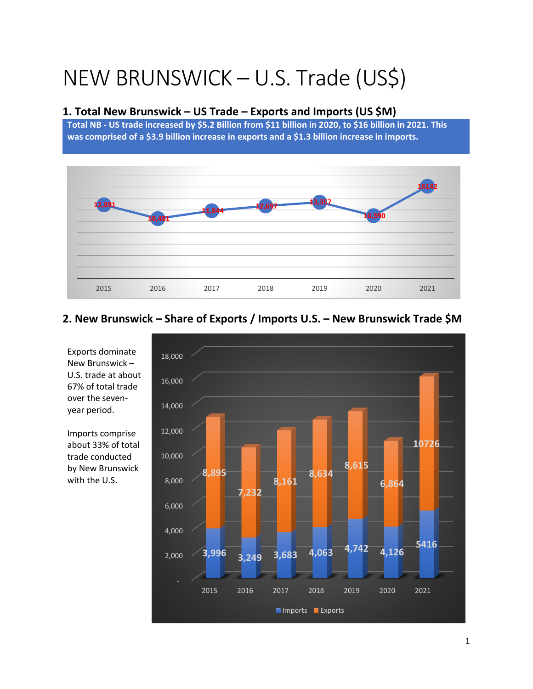# NEW BRUNSWICK – U.S. Trade (US\$)

#### **1. Total New Brunswick – US Trade – Exports and Imports (US \$M)**

**Total NB - US trade increased by \$5.2 Billion from \$11 billion in 2020, to \$16 billion in 2021. This was comprised of a \$3.9 billion increase in exports and a \$1.3 billion increase in imports.** 



**2. New Brunswick – Share of Exports / Imports U.S. – New Brunswick Trade \$M**



Exports dominate New Brunswick – U.S. trade at about 67% of total trade over the sevenyear period.

Imports comprise about 33% of total trade conducted by New Brunswick with the U.S.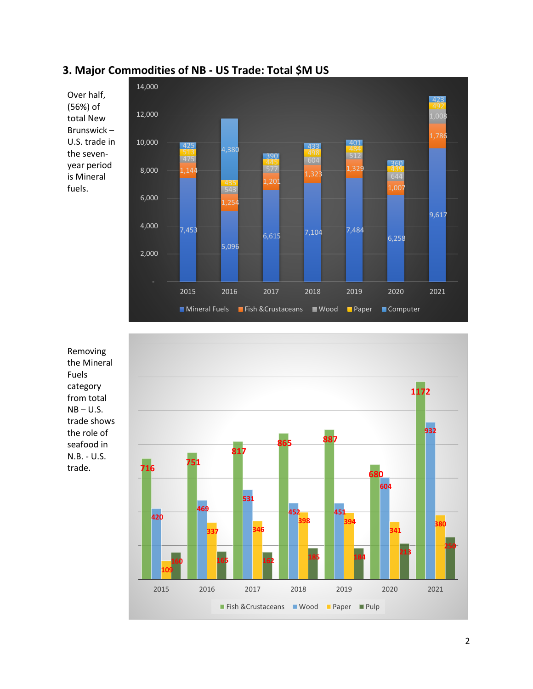### **3. Major Commodities of NB - US Trade: Total \$M US**

Over half, (56%) of total New Brunswick – U.S. trade in the sevenyear period is Mineral fuels.



Removing the Mineral Fuels category from total  $NB - U.S.$ trade shows the role of seafood in N.B. - U.S. trade.

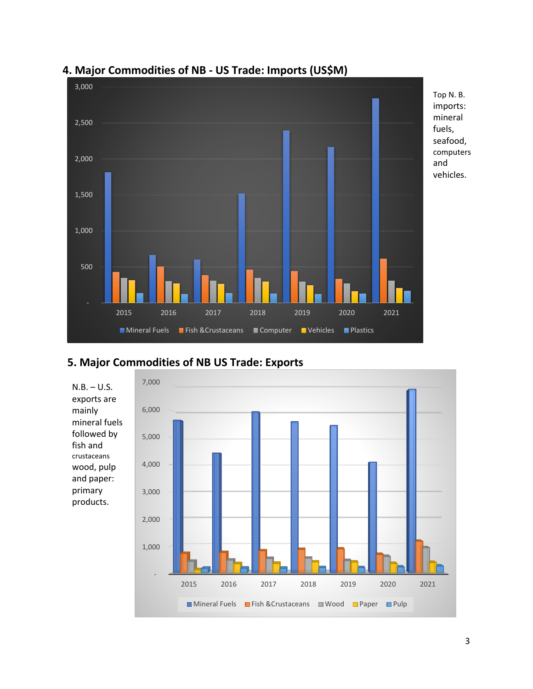

## **4. Major Commodities of NB - US Trade: Imports (US\$M)**

## **5. Major Commodities of NB US Trade: Exports**

mainly

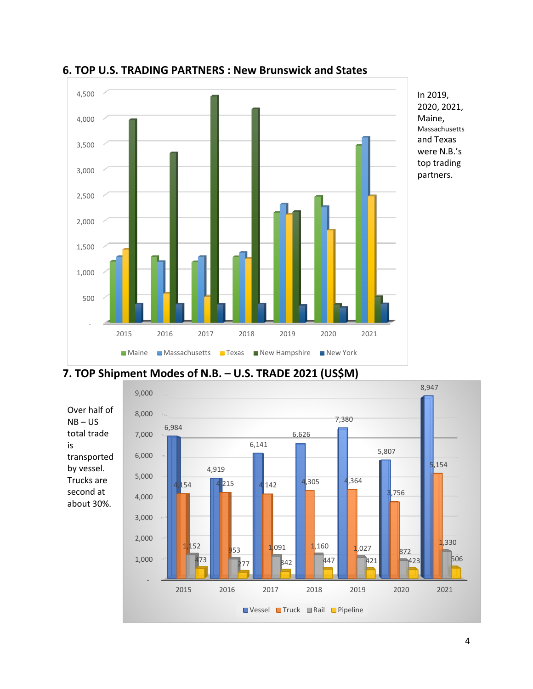

**6. TOP U.S. TRADING PARTNERS : New Brunswick and States**



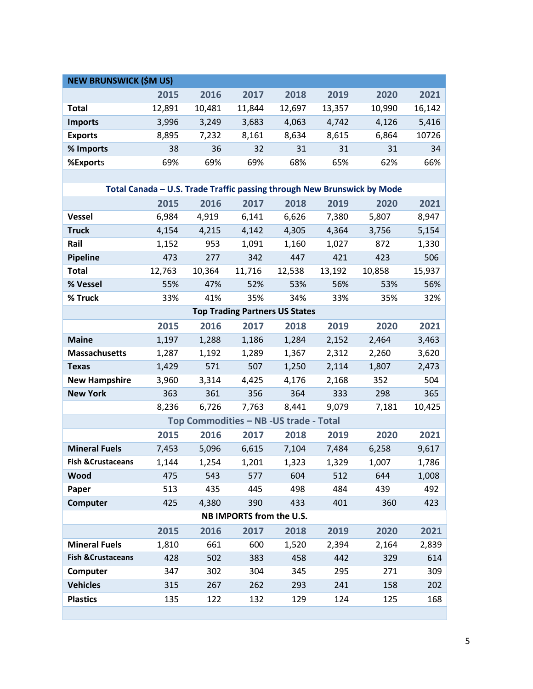| <b>NEW BRUNSWICK (\$M US)</b>                                           |        |                                         |                          |                                       |        |        |        |  |  |  |  |
|-------------------------------------------------------------------------|--------|-----------------------------------------|--------------------------|---------------------------------------|--------|--------|--------|--|--|--|--|
|                                                                         | 2015   | 2016                                    | 2017                     | 2018                                  | 2019   | 2020   | 2021   |  |  |  |  |
| <b>Total</b>                                                            | 12,891 | 10,481                                  | 11,844                   | 12,697                                | 13,357 | 10,990 | 16,142 |  |  |  |  |
| <b>Imports</b>                                                          | 3,996  | 3,249                                   | 3,683                    | 4,063                                 | 4,742  | 4,126  | 5,416  |  |  |  |  |
| <b>Exports</b>                                                          | 8,895  | 7,232                                   | 8,161                    | 8,634                                 | 8,615  | 6,864  | 10726  |  |  |  |  |
| % Imports                                                               | 38     | 36                                      | 32                       | 31                                    | 31     | 31     | 34     |  |  |  |  |
| %Exports                                                                | 69%    | 69%                                     | 69%                      | 68%                                   | 65%    | 62%    | 66%    |  |  |  |  |
|                                                                         |        |                                         |                          |                                       |        |        |        |  |  |  |  |
| Total Canada - U.S. Trade Traffic passing through New Brunswick by Mode |        |                                         |                          |                                       |        |        |        |  |  |  |  |
|                                                                         | 2015   | 2016                                    | 2017                     | 2018                                  | 2019   | 2020   | 2021   |  |  |  |  |
| <b>Vessel</b>                                                           | 6,984  | 4,919                                   | 6,141                    | 6,626                                 | 7,380  | 5,807  | 8,947  |  |  |  |  |
| <b>Truck</b>                                                            | 4,154  | 4,215                                   | 4,142                    | 4,305                                 | 4,364  | 3,756  | 5,154  |  |  |  |  |
| Rail                                                                    | 1,152  | 953                                     | 1,091                    | 1,160                                 | 1,027  | 872    | 1,330  |  |  |  |  |
| Pipeline                                                                | 473    | 277                                     | 342                      | 447                                   | 421    | 423    | 506    |  |  |  |  |
| <b>Total</b>                                                            | 12,763 | 10,364                                  | 11,716                   | 12,538                                | 13,192 | 10,858 | 15,937 |  |  |  |  |
| % Vessel                                                                | 55%    | 47%                                     | 52%                      | 53%                                   | 56%    | 53%    | 56%    |  |  |  |  |
| % Truck                                                                 | 33%    | 41%                                     | 35%                      | 34%                                   | 33%    | 35%    | 32%    |  |  |  |  |
|                                                                         |        |                                         |                          | <b>Top Trading Partners US States</b> |        |        |        |  |  |  |  |
|                                                                         | 2015   | 2016                                    | 2017                     | 2018                                  | 2019   | 2020   | 2021   |  |  |  |  |
| <b>Maine</b>                                                            | 1,197  | 1,288                                   | 1,186                    | 1,284                                 | 2,152  | 2,464  | 3,463  |  |  |  |  |
| <b>Massachusetts</b>                                                    | 1,287  | 1,192                                   | 1,289                    | 1,367                                 | 2,312  | 2,260  | 3,620  |  |  |  |  |
| <b>Texas</b>                                                            | 1,429  | 571                                     | 507                      | 1,250                                 | 2,114  | 1,807  | 2,473  |  |  |  |  |
| <b>New Hampshire</b>                                                    | 3,960  | 3,314                                   | 4,425                    | 4,176                                 | 2,168  | 352    | 504    |  |  |  |  |
| <b>New York</b>                                                         | 363    | 361                                     | 356                      | 364                                   | 333    | 298    | 365    |  |  |  |  |
|                                                                         | 8,236  | 6,726                                   | 7,763                    | 8,441                                 | 9,079  | 7,181  | 10,425 |  |  |  |  |
|                                                                         |        | Top Commodities - NB - US trade - Total |                          |                                       |        |        |        |  |  |  |  |
|                                                                         | 2015   | 2016                                    | 2017                     | 2018                                  | 2019   | 2020   | 2021   |  |  |  |  |
| <b>Mineral Fuels</b>                                                    | 7,453  | 5,096                                   | 6,615                    | 7,104                                 | 7,484  | 6,258  | 9,617  |  |  |  |  |
| <b>Fish &amp; Crustaceans</b>                                           | 1,144  | 1,254                                   | 1,201                    | 1,323                                 | 1,329  | 1,007  | 1,786  |  |  |  |  |
| Wood                                                                    | 475    | 543                                     | 577                      | 604                                   | 512    | 644    | 1,008  |  |  |  |  |
| Paper                                                                   | 513    | 435                                     | 445                      | 498                                   | 484    | 439    | 492    |  |  |  |  |
| <b>Computer</b>                                                         | 425    | 4,380                                   | 390                      | 433                                   | 401    | 360    | 423    |  |  |  |  |
|                                                                         |        |                                         | NB IMPORTS from the U.S. |                                       |        |        |        |  |  |  |  |
|                                                                         | 2015   | 2016                                    | 2017                     | 2018                                  | 2019   | 2020   | 2021   |  |  |  |  |
| <b>Mineral Fuels</b>                                                    | 1,810  | 661                                     | 600                      | 1,520                                 | 2,394  | 2,164  | 2,839  |  |  |  |  |
| <b>Fish &amp; Crustaceans</b>                                           | 428    | 502                                     | 383                      | 458                                   | 442    | 329    | 614    |  |  |  |  |
| Computer                                                                | 347    | 302                                     | 304                      | 345                                   | 295    | 271    | 309    |  |  |  |  |
| <b>Vehicles</b>                                                         | 315    | 267                                     | 262                      | 293                                   | 241    | 158    | 202    |  |  |  |  |
| <b>Plastics</b>                                                         | 135    | 122                                     | 132                      | 129                                   | 124    | 125    | 168    |  |  |  |  |
|                                                                         |        |                                         |                          |                                       |        |        |        |  |  |  |  |